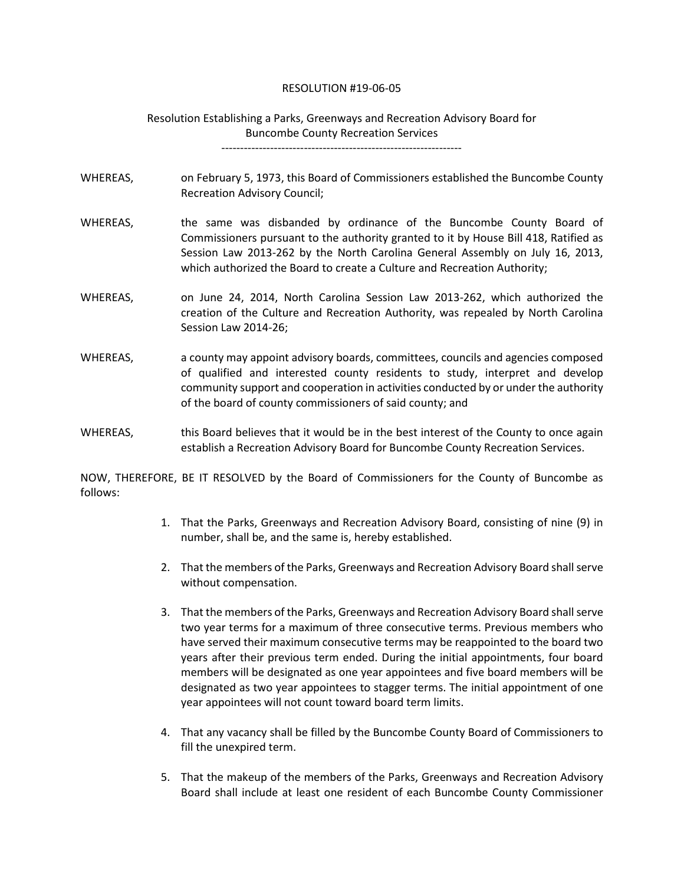## RESOLUTION #19-06-05

## Resolution Establishing a Parks, Greenways and Recreation Advisory Board for Buncombe County Recreation Services

----------------------------------------------------------------

- WHEREAS, on February 5, 1973, this Board of Commissioners established the Buncombe County Recreation Advisory Council;
- WHEREAS, the same was disbanded by ordinance of the Buncombe County Board of Commissioners pursuant to the authority granted to it by House Bill 418, Ratified as Session Law 2013-262 by the North Carolina General Assembly on July 16, 2013, which authorized the Board to create a Culture and Recreation Authority;
- WHEREAS, on June 24, 2014, North Carolina Session Law 2013-262, which authorized the creation of the Culture and Recreation Authority, was repealed by North Carolina Session Law 2014-26;
- WHEREAS, a county may appoint advisory boards, committees, councils and agencies composed of qualified and interested county residents to study, interpret and develop community support and cooperation in activities conducted by or under the authority of the board of county commissioners of said county; and
- WHEREAS, this Board believes that it would be in the best interest of the County to once again establish a Recreation Advisory Board for Buncombe County Recreation Services.

NOW, THEREFORE, BE IT RESOLVED by the Board of Commissioners for the County of Buncombe as follows:

- 1. That the Parks, Greenways and Recreation Advisory Board, consisting of nine (9) in number, shall be, and the same is, hereby established.
- 2. That the members of the Parks, Greenways and Recreation Advisory Board shall serve without compensation.
- 3. That the members of the Parks, Greenways and Recreation Advisory Board shall serve two year terms for a maximum of three consecutive terms. Previous members who have served their maximum consecutive terms may be reappointed to the board two years after their previous term ended. During the initial appointments, four board members will be designated as one year appointees and five board members will be designated as two year appointees to stagger terms. The initial appointment of one year appointees will not count toward board term limits.
- 4. That any vacancy shall be filled by the Buncombe County Board of Commissioners to fill the unexpired term.
- 5. That the makeup of the members of the Parks, Greenways and Recreation Advisory Board shall include at least one resident of each Buncombe County Commissioner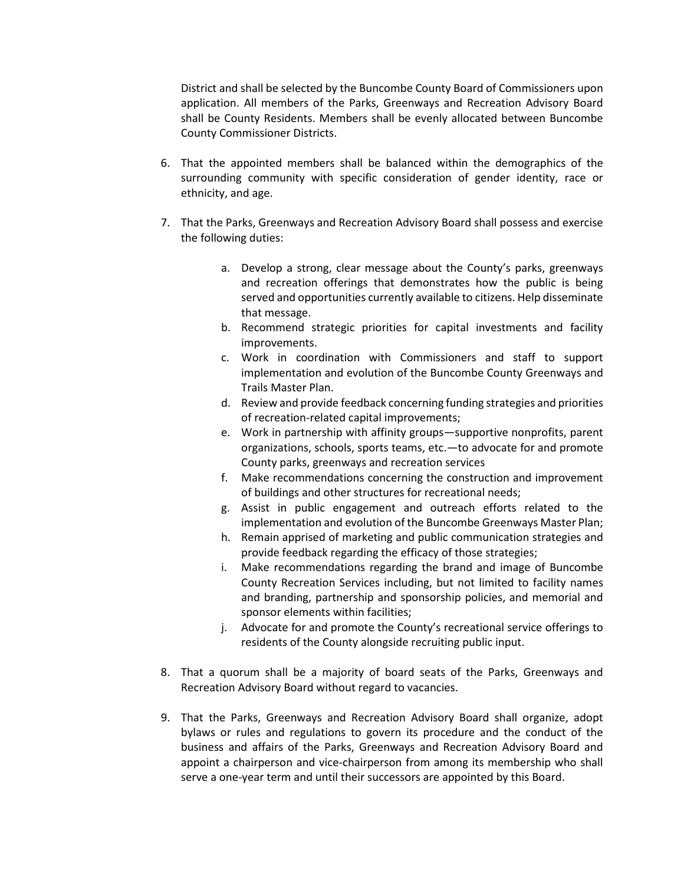District and shall be selected by the Buncombe County Board of Commissioners upon application. All members of the Parks, Greenways and Recreation Advisory Board shall be County Residents. Members shall be evenly allocated between Buncombe County Commissioner Districts.

- 6. That the appointed members shall be balanced within the demographics of the surrounding community with specific consideration of gender identity, race or ethnicity, and age.
- 7. That the Parks, Greenways and Recreation Advisory Board shall possess and exercise the following duties:
	- a. Develop a strong, clear message about the County's parks, greenways and recreation offerings that demonstrates how the public is being served and opportunities currently available to citizens. Help disseminate that message.
	- b. Recommend strategic priorities for capital investments and facility improvements.
	- c. Work in coordination with Commissioners and staff to support implementation and evolution of the Buncombe County Greenways and Trails Master Plan.
	- d. Review and provide feedback concerning funding strategies and priorities of recreation-related capital improvements;
	- e. Work in partnership with affinity groups—supportive nonprofits, parent organizations, schools, sports teams, etc.—to advocate for and promote County parks, greenways and recreation services
	- f. Make recommendations concerning the construction and improvement of buildings and other structures for recreational needs;
	- g. Assist in public engagement and outreach efforts related to the implementation and evolution of the Buncombe Greenways Master Plan;
	- h. Remain apprised of marketing and public communication strategies and provide feedback regarding the efficacy of those strategies;
	- i. Make recommendations regarding the brand and image of Buncombe County Recreation Services including, but not limited to facility names and branding, partnership and sponsorship policies, and memorial and sponsor elements within facilities;
	- j. Advocate for and promote the County's recreational service offerings to residents of the County alongside recruiting public input.
- 8. That a quorum shall be a majority of board seats of the Parks, Greenways and Recreation Advisory Board without regard to vacancies.
- 9. That the Parks, Greenways and Recreation Advisory Board shall organize, adopt bylaws or rules and regulations to govern its procedure and the conduct of the business and affairs of the Parks, Greenways and Recreation Advisory Board and appoint a chairperson and vice-chairperson from among its membership who shall serve a one-year term and until their successors are appointed by this Board.